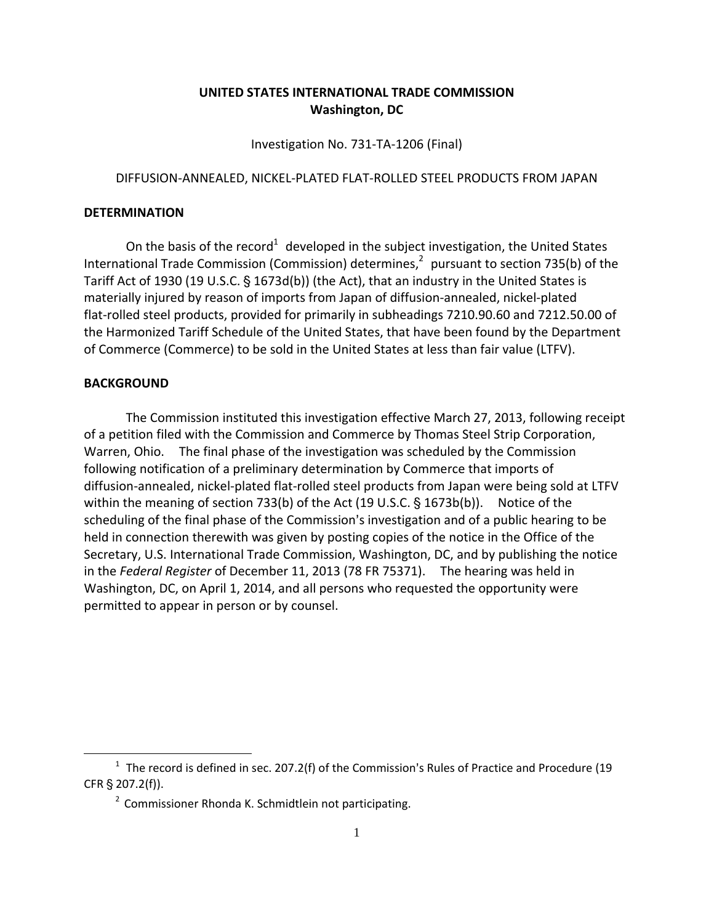## **UNITED STATES INTERNATIONAL TRADE COMMISSION Washington, DC**

Investigation No. 731‐TA‐1206 (Final)

## DIFFUSION‐ANNEALED, NICKEL‐PLATED FLAT‐ROLLED STEEL PRODUCTS FROM JAPAN

## **DETERMINATION**

On the basis of the record<sup>1</sup> developed in the subject investigation, the United States International Trade Commission (Commission) determines, $<sup>2</sup>$  pursuant to section 735(b) of the</sup> Tariff Act of 1930 (19 U.S.C. § 1673d(b)) (the Act), that an industry in the United States is materially injured by reason of imports from Japan of diffusion‐annealed, nickel‐plated flat-rolled steel products, provided for primarily in subheadings 7210.90.60 and 7212.50.00 of the Harmonized Tariff Schedule of the United States, that have been found by the Department of Commerce (Commerce) to be sold in the United States at less than fair value (LTFV).

## **BACKGROUND**

 $\overline{a}$ 

The Commission instituted this investigation effective March 27, 2013, following receipt of a petition filed with the Commission and Commerce by Thomas Steel Strip Corporation, Warren, Ohio. The final phase of the investigation was scheduled by the Commission following notification of a preliminary determination by Commerce that imports of diffusion‐annealed, nickel‐plated flat‐rolled steel products from Japan were being sold at LTFV within the meaning of section 733(b) of the Act  $(19 \text{ U.S.C.} \S 1673b(b))$ . Notice of the scheduling of the final phase of the Commission's investigation and of a public hearing to be held in connection therewith was given by posting copies of the notice in the Office of the Secretary, U.S. International Trade Commission, Washington, DC, and by publishing the notice in the *Federal Register* of December 11, 2013 (78 FR 75371). The hearing was held in Washington, DC, on April 1, 2014, and all persons who requested the opportunity were permitted to appear in person or by counsel.

 $1$  The record is defined in sec. 207.2(f) of the Commission's Rules of Practice and Procedure (19 CFR § 207.2(f)).

<sup>&</sup>lt;sup>2</sup> Commissioner Rhonda K. Schmidtlein not participating.